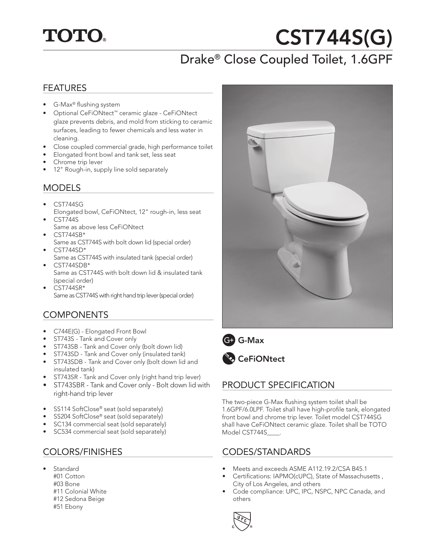

# CST744S(G)

# Drake® Close Coupled Toilet, 1.6GPF

#### FEATURES

- G-Max® flushing system
- Optional CeFiONtect™ ceramic glaze CeFiONtect glaze prevents debris, and mold from sticking to ceramic surfaces, leading to fewer chemicals and less water in cleaning.
- Close coupled commercial grade, high performance toilet
- Elongated front bowl and tank set, less seat
- Chrome trip lever
- 12" Rough-in, supply line sold separately

#### MODELS

- CST744SG Elongated bowl, CeFiONtect, 12" rough-in, less seat • CST744S
- Same as above less CeFiONtect
- CST744SB\*
- Same as CST744S with bolt down lid (special order)  $CST744SD*$
- Same as CST744S with insulated tank (special order) • CST744SDB\*
- Same as CST744S with bolt down lid & insulated tank (special order)
- CST744SR\*
	- Same as CST744S with right hand trip lever (special order)

## **COMPONENTS**

- C744E(G) Elongated Front Bowl
- ST743S Tank and Cover only
- ST743SB Tank and Cover only (bolt down lid)
- ST743SD Tank and Cover only (insulated tank)
- ST743SDB Tank and Cover only (bolt down lid and insulated tank)
- ST743SR Tank and Cover only (right hand trip lever)
- ST743SBR Tank and Cover only Bolt down lid with right-hand trip lever
- SS114 SoftClose® seat (sold separately)
- SS204 SoftClose® seat (sold separately)
- SC134 commercial seat (sold separately)
- SC534 commercial seat (sold separately)

## COLORS/FINISHES

- **Standard** #01 Cotton
	- #03 Bone #11 Colonial White
	- #12 Sedona Beige
	- #51 Ebony







# PRODUCT SPECIFICATION

The two-piece G-Max flushing system toilet shall be 1.6GPF/6.0LPF. Toilet shall have high-profile tank, elongated front bowl and chrome trip lever. Toilet model CST744SG shall have CeFiONtect ceramic glaze. Toilet shall be TOTO Model CST744S\_\_\_\_.

## CODES/STANDARDS

- Meets and exceeds ASME A112.19.2/CSA B45.1
- Certifications: IAPMO(cUPC), State of Massachusetts , City of Los Angeles, and others
- Code compliance: UPC, IPC, NSPC, NPC Canada, and others